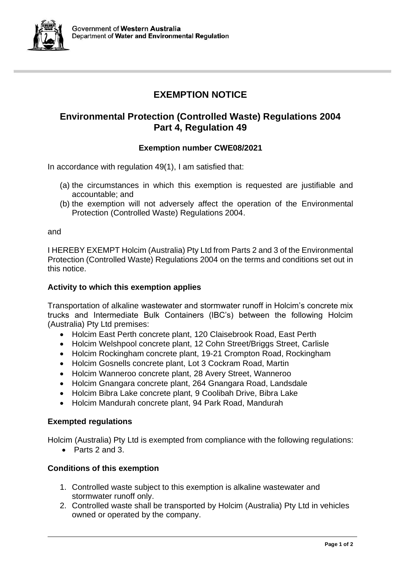

# **EXEMPTION NOTICE**

# **Environmental Protection (Controlled Waste) Regulations 2004 Part 4, Regulation 49**

## **Exemption number CWE08/2021**

In accordance with regulation 49(1), I am satisfied that:

- (a) the circumstances in which this exemption is requested are justifiable and accountable; and
- (b) the exemption will not adversely affect the operation of the Environmental Protection (Controlled Waste) Regulations 2004.

and

I HEREBY EXEMPT Holcim (Australia) Pty Ltd from Parts 2 and 3 of the Environmental Protection (Controlled Waste) Regulations 2004 on the terms and conditions set out in this notice.

#### **Activity to which this exemption applies**

Transportation of alkaline wastewater and stormwater runoff in Holcim's concrete mix trucks and Intermediate Bulk Containers (IBC's) between the following Holcim (Australia) Pty Ltd premises:

- Holcim East Perth concrete plant, 120 Claisebrook Road, East Perth
- Holcim Welshpool concrete plant, 12 Cohn Street/Briggs Street, Carlisle
- Holcim Rockingham concrete plant, 19-21 Crompton Road, Rockingham
- Holcim Gosnells concrete plant, Lot 3 Cockram Road, Martin
- Holcim Wanneroo concrete plant, 28 Avery Street, Wanneroo
- Holcim Gnangara concrete plant, 264 Gnangara Road, Landsdale
- Holcim Bibra Lake concrete plant, 9 Coolibah Drive, Bibra Lake
- Holcim Mandurah concrete plant, 94 Park Road, Mandurah

#### **Exempted regulations**

Holcim (Australia) Pty Ltd is exempted from compliance with the following regulations:

• Parts 2 and 3.

## **Conditions of this exemption**

- 1. Controlled waste subject to this exemption is alkaline wastewater and stormwater runoff only.
- 2. Controlled waste shall be transported by Holcim (Australia) Pty Ltd in vehicles owned or operated by the company.